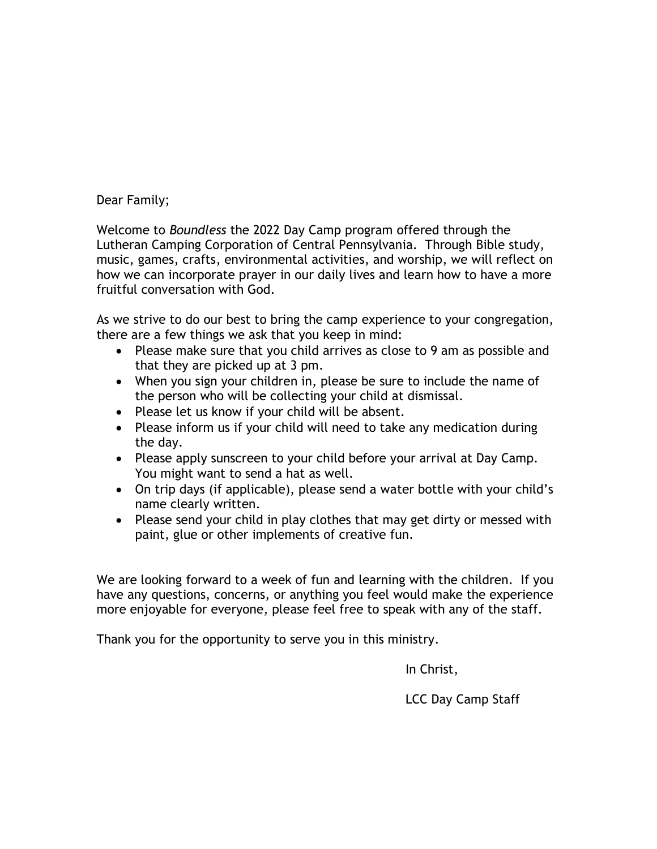Dear Family;

Welcome to *Boundless* the 2022 Day Camp program offered through the Lutheran Camping Corporation of Central Pennsylvania. Through Bible study, music, games, crafts, environmental activities, and worship, we will reflect on how we can incorporate prayer in our daily lives and learn how to have a more fruitful conversation with God.

As we strive to do our best to bring the camp experience to your congregation, there are a few things we ask that you keep in mind:

- Please make sure that you child arrives as close to 9 am as possible and that they are picked up at 3 pm.
- When you sign your children in, please be sure to include the name of the person who will be collecting your child at dismissal.
- Please let us know if your child will be absent.
- Please inform us if your child will need to take any medication during the day.
- Please apply sunscreen to your child before your arrival at Day Camp. You might want to send a hat as well.
- On trip days (if applicable), please send a water bottle with your child's name clearly written.
- Please send your child in play clothes that may get dirty or messed with paint, glue or other implements of creative fun.

We are looking forward to a week of fun and learning with the children. If you have any questions, concerns, or anything you feel would make the experience more enjoyable for everyone, please feel free to speak with any of the staff.

Thank you for the opportunity to serve you in this ministry.

In Christ,

LCC Day Camp Staff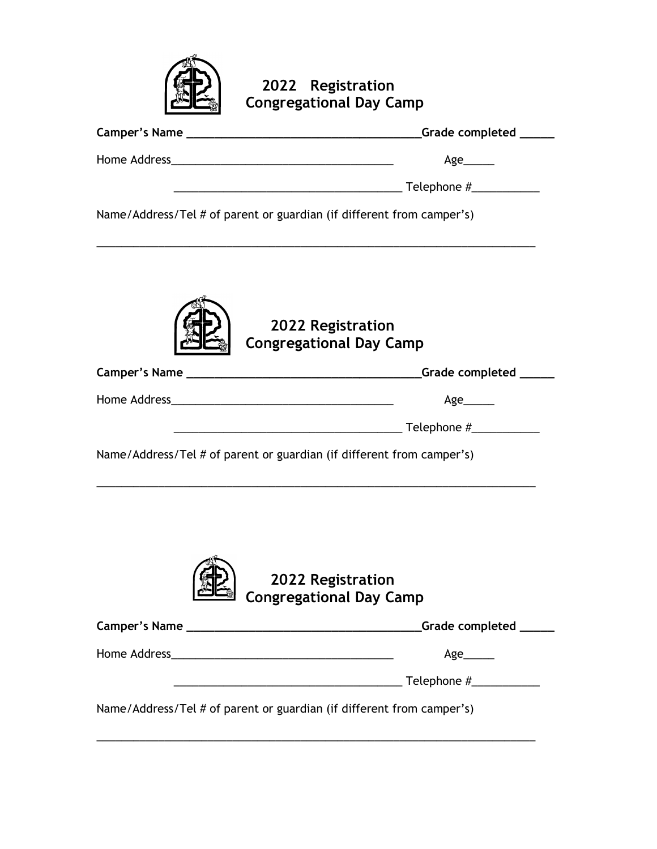

**2022 Registration Congregational Day Camp**

| _Grade completed ______                                                                                                                          |
|--------------------------------------------------------------------------------------------------------------------------------------------------|
| Age______                                                                                                                                        |
|                                                                                                                                                  |
| Name/Address/Tel # of parent or guardian (if different from camper's)                                                                            |
| 2022 Registration<br><b>Congregational Day Camp</b>                                                                                              |
|                                                                                                                                                  |
| $Age$ <sub>________</sub>                                                                                                                        |
|                                                                                                                                                  |
| Name/Address/Tel # of parent or guardian (if different from camper's)                                                                            |
| 2022 Registration<br><b>Congregational Day Camp</b>                                                                                              |
|                                                                                                                                                  |
| Age______                                                                                                                                        |
| Telephone #____________<br><u> 1989 - Johann Barn, margaret eta industrial eta industrial eta industrial eta industrial eta industrial eta i</u> |
| Name/Address/Tel # of parent or guardian (if different from camper's)                                                                            |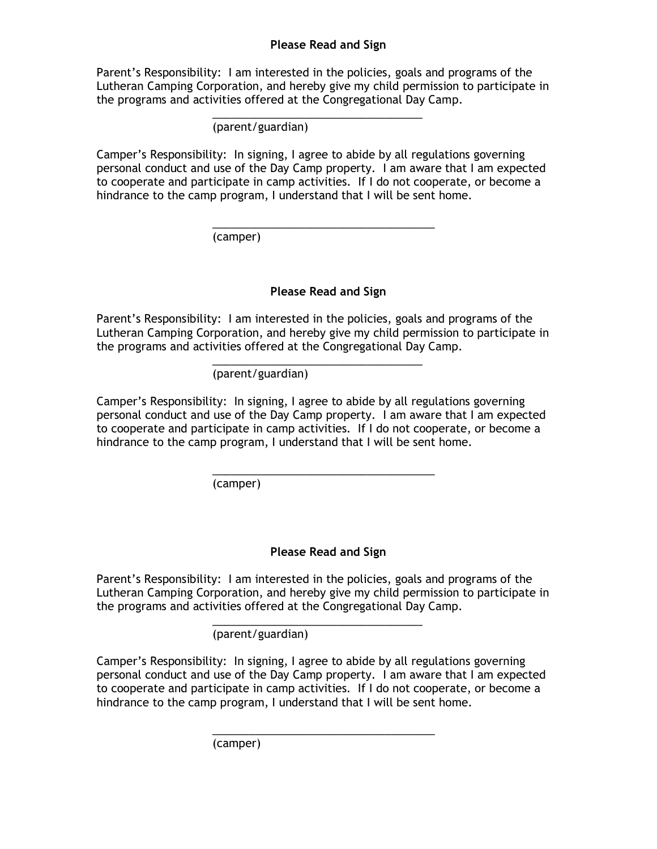## **Please Read and Sign**

Parent's Responsibility: I am interested in the policies, goals and programs of the Lutheran Camping Corporation, and hereby give my child permission to participate in the programs and activities offered at the Congregational Day Camp.

> \_\_\_\_\_\_\_\_\_\_\_\_\_\_\_\_\_\_\_\_\_\_\_\_\_\_\_\_\_\_\_\_\_\_ (parent/guardian)

Camper's Responsibility: In signing, I agree to abide by all regulations governing personal conduct and use of the Day Camp property. I am aware that I am expected to cooperate and participate in camp activities. If I do not cooperate, or become a hindrance to the camp program, I understand that I will be sent home.

\_\_\_\_\_\_\_\_\_\_\_\_\_\_\_\_\_\_\_\_\_\_\_\_\_\_\_\_\_\_\_\_\_\_\_\_

(camper)

## **Please Read and Sign**

Parent's Responsibility: I am interested in the policies, goals and programs of the Lutheran Camping Corporation, and hereby give my child permission to participate in the programs and activities offered at the Congregational Day Camp.

> \_\_\_\_\_\_\_\_\_\_\_\_\_\_\_\_\_\_\_\_\_\_\_\_\_\_\_\_\_\_\_\_\_\_ (parent/guardian)

Camper's Responsibility: In signing, I agree to abide by all regulations governing personal conduct and use of the Day Camp property. I am aware that I am expected to cooperate and participate in camp activities. If I do not cooperate, or become a hindrance to the camp program, I understand that I will be sent home.

\_\_\_\_\_\_\_\_\_\_\_\_\_\_\_\_\_\_\_\_\_\_\_\_\_\_\_\_\_\_\_\_\_\_\_\_

(camper)

## **Please Read and Sign**

Parent's Responsibility: I am interested in the policies, goals and programs of the Lutheran Camping Corporation, and hereby give my child permission to participate in the programs and activities offered at the Congregational Day Camp.

> \_\_\_\_\_\_\_\_\_\_\_\_\_\_\_\_\_\_\_\_\_\_\_\_\_\_\_\_\_\_\_\_\_\_ (parent/guardian)

Camper's Responsibility: In signing, I agree to abide by all regulations governing personal conduct and use of the Day Camp property. I am aware that I am expected to cooperate and participate in camp activities. If I do not cooperate, or become a hindrance to the camp program, I understand that I will be sent home.

\_\_\_\_\_\_\_\_\_\_\_\_\_\_\_\_\_\_\_\_\_\_\_\_\_\_\_\_\_\_\_\_\_\_\_\_

(camper)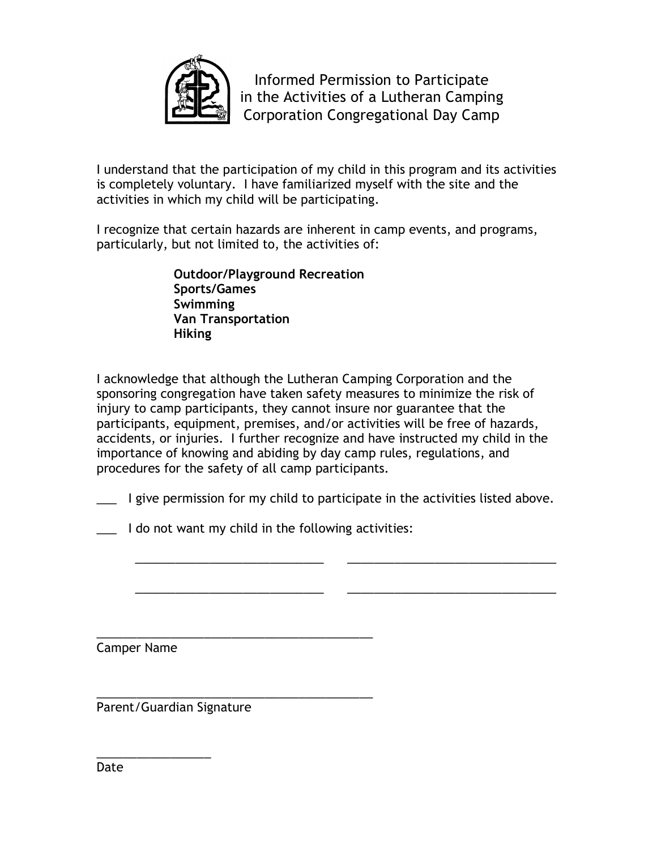

Informed Permission to Participate in the Activities of a Lutheran Camping Corporation Congregational Day Camp

I understand that the participation of my child in this program and its activities is completely voluntary. I have familiarized myself with the site and the activities in which my child will be participating.

I recognize that certain hazards are inherent in camp events, and programs, particularly, but not limited to, the activities of:

> **Outdoor/Playground Recreation Sports/Games Swimming Van Transportation Hiking**

I acknowledge that although the Lutheran Camping Corporation and the sponsoring congregation have taken safety measures to minimize the risk of injury to camp participants, they cannot insure nor guarantee that the participants, equipment, premises, and/or activities will be free of hazards, accidents, or injuries. I further recognize and have instructed my child in the importance of knowing and abiding by day camp rules, regulations, and procedures for the safety of all camp participants.

\_\_\_ I give permission for my child to participate in the activities listed above.

\_\_\_\_\_\_\_\_\_\_\_\_\_\_\_\_\_\_\_\_\_\_\_\_\_\_\_\_ \_\_\_\_\_\_\_\_\_\_\_\_\_\_\_\_\_\_\_\_\_\_\_\_\_\_\_\_\_\_\_

\_\_\_\_\_\_\_\_\_\_\_\_\_\_\_\_\_\_\_\_\_\_\_\_\_\_\_\_ \_\_\_\_\_\_\_\_\_\_\_\_\_\_\_\_\_\_\_\_\_\_\_\_\_\_\_\_\_\_\_

\_\_\_ I do not want my child in the following activities:

\_\_\_\_\_\_\_\_\_\_\_\_\_\_\_\_\_\_\_\_\_\_\_\_\_\_\_\_\_\_\_\_\_\_\_\_\_\_\_\_\_

Camper Name

\_\_\_\_\_\_\_\_\_\_\_\_\_\_\_\_\_\_\_\_\_\_\_\_\_\_\_\_\_\_\_\_\_\_\_\_\_\_\_\_\_ Parent/Guardian Signature

\_\_\_\_\_\_\_\_\_\_\_\_\_\_\_\_\_